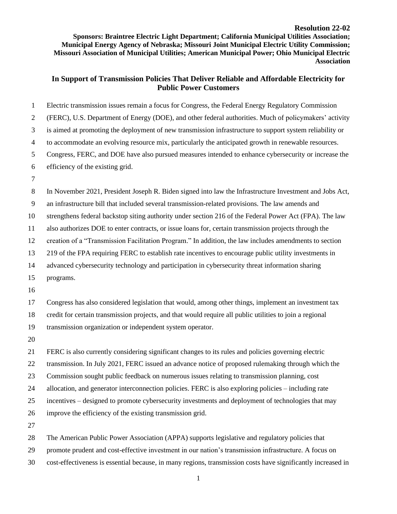**Sponsors: Braintree Electric Light Department; California Municipal Utilities Association; Municipal Energy Agency of Nebraska; Missouri Joint Municipal Electric Utility Commission; Missouri Association of Municipal Utilities; American Municipal Power; Ohio Municipal Electric Association**

## **In Support of Transmission Policies That Deliver Reliable and Affordable Electricity for Public Power Customers**

| $\mathbf{1}$   | Electric transmission issues remain a focus for Congress, the Federal Energy Regulatory Commission           |
|----------------|--------------------------------------------------------------------------------------------------------------|
| $\overline{2}$ | (FERC), U.S. Department of Energy (DOE), and other federal authorities. Much of policymakers' activity       |
| 3              | is aimed at promoting the deployment of new transmission infrastructure to support system reliability or     |
| $\overline{4}$ | to accommodate an evolving resource mix, particularly the anticipated growth in renewable resources.         |
| 5              | Congress, FERC, and DOE have also pursued measures intended to enhance cybersecurity or increase the         |
| 6              | efficiency of the existing grid.                                                                             |
| $\tau$         |                                                                                                              |
| 8              | In November 2021, President Joseph R. Biden signed into law the Infrastructure Investment and Jobs Act,      |
| $\mathbf{9}$   | an infrastructure bill that included several transmission-related provisions. The law amends and             |
| 10             | strengthens federal backstop siting authority under section 216 of the Federal Power Act (FPA). The law      |
| 11             | also authorizes DOE to enter contracts, or issue loans for, certain transmission projects through the        |
| 12             | creation of a "Transmission Facilitation Program." In addition, the law includes amendments to section       |
| 13             | 219 of the FPA requiring FERC to establish rate incentives to encourage public utility investments in        |
| 14             | advanced cybersecurity technology and participation in cybersecurity threat information sharing              |
| 15             | programs.                                                                                                    |
| 16             |                                                                                                              |
| 17             | Congress has also considered legislation that would, among other things, implement an investment tax         |
| 18             | credit for certain transmission projects, and that would require all public utilities to join a regional     |
| 19             | transmission organization or independent system operator.                                                    |
| 20             |                                                                                                              |
| 21             | FERC is also currently considering significant changes to its rules and policies governing electric          |
| 22             | transmission. In July 2021, FERC issued an advance notice of proposed rulemaking through which the           |
| 23             | Commission sought public feedback on numerous issues relating to transmission planning, cost                 |
| 24             | allocation, and generator interconnection policies. FERC is also exploring policies – including rate         |
| 25             | incentives – designed to promote cybersecurity investments and deployment of technologies that may           |
| 26             | improve the efficiency of the existing transmission grid.                                                    |
| 27             |                                                                                                              |
| 28             | The American Public Power Association (APPA) supports legislative and regulatory policies that               |
| 29             | promote prudent and cost-effective investment in our nation's transmission infrastructure. A focus on        |
| 30             | cost-effectiveness is essential because, in many regions, transmission costs have significantly increased in |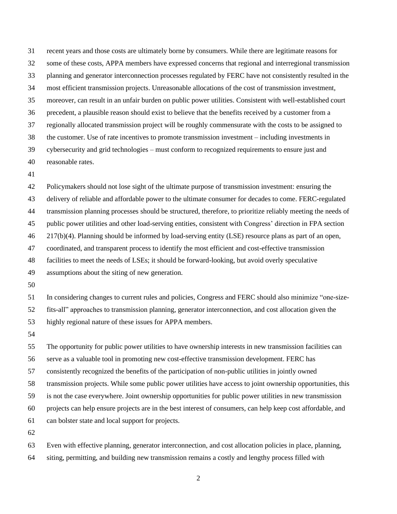recent years and those costs are ultimately borne by consumers. While there are legitimate reasons for some of these costs, APPA members have expressed concerns that regional and interregional transmission planning and generator interconnection processes regulated by FERC have not consistently resulted in the most efficient transmission projects. Unreasonable allocations of the cost of transmission investment, moreover, can result in an unfair burden on public power utilities. Consistent with well-established court precedent, a plausible reason should exist to believe that the benefits received by a customer from a regionally allocated transmission project will be roughly commensurate with the costs to be assigned to the customer. Use of rate incentives to promote transmission investment – including investments in cybersecurity and grid technologies – must conform to recognized requirements to ensure just and reasonable rates.

 Policymakers should not lose sight of the ultimate purpose of transmission investment: ensuring the delivery of reliable and affordable power to the ultimate consumer for decades to come. FERC-regulated transmission planning processes should be structured, therefore, to prioritize reliably meeting the needs of public power utilities and other load-serving entities, consistent with Congress' direction in FPA section 217(b)(4). Planning should be informed by load-serving entity (LSE) resource plans as part of an open, coordinated, and transparent process to identify the most efficient and cost-effective transmission facilities to meet the needs of LSEs; it should be forward-looking, but avoid overly speculative assumptions about the siting of new generation.

 In considering changes to current rules and policies, Congress and FERC should also minimize "one-size-fits-all" approaches to transmission planning, generator interconnection, and cost allocation given the

highly regional nature of these issues for APPA members.

 The opportunity for public power utilities to have ownership interests in new transmission facilities can serve as a valuable tool in promoting new cost-effective transmission development. FERC has consistently recognized the benefits of the participation of non-public utilities in jointly owned transmission projects. While some public power utilities have access to joint ownership opportunities, this is not the case everywhere. Joint ownership opportunities for public power utilities in new transmission projects can help ensure projects are in the best interest of consumers, can help keep cost affordable, and can bolster state and local support for projects. 

 Even with effective planning, generator interconnection, and cost allocation policies in place, planning, siting, permitting, and building new transmission remains a costly and lengthy process filled with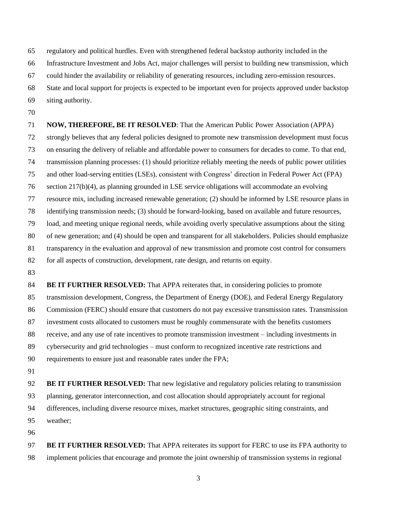regulatory and political hurdles. Even with strengthened federal backstop authority included in the

Infrastructure Investment and Jobs Act, major challenges will persist to building new transmission, which

could hinder the availability or reliability of generating resources, including zero-emission resources.

State and local support for projects is expected to be important even for projects approved under backstop

- siting authority.
- 

 **NOW, THEREFORE, BE IT RESOLVED**: That the American Public Power Association (APPA) strongly believes that any federal policies designed to promote new transmission development must focus on ensuring the delivery of reliable and affordable power to consumers for decades to come. To that end, transmission planning processes: (1) should prioritize reliably meeting the needs of public power utilities and other load-serving entities (LSEs), consistent with Congress' direction in Federal Power Act (FPA) section 217(b)(4), as planning grounded in LSE service obligations will accommodate an evolving resource mix, including increased renewable generation; (2) should be informed by LSE resource plans in identifying transmission needs; (3) should be forward-looking, based on available and future resources, load, and meeting unique regional needs, while avoiding overly speculative assumptions about the siting of new generation; and (4) should be open and transparent for all stakeholders. Policies should emphasize transparency in the evaluation and approval of new transmission and promote cost control for consumers 82 for all aspects of construction, development, rate design, and returns on equity. 

**BE IT FURTHER RESOLVED:** That APPA reiterates that, in considering policies to promote transmission development, Congress, the Department of Energy (DOE), and Federal Energy Regulatory Commission (FERC) should ensure that customers do not pay excessive transmission rates. Transmission investment costs allocated to customers must be roughly commensurate with the benefits customers receive, and any use of rate incentives to promote transmission investment – including investments in cybersecurity and grid technologies – must conform to recognized incentive rate restrictions and requirements to ensure just and reasonable rates under the FPA;

 **BE IT FURTHER RESOLVED:** That new legislative and regulatory policies relating to transmission planning, generator interconnection, and cost allocation should appropriately account for regional differences, including diverse resource mixes, market structures, geographic siting constraints, and weather;

 **BE IT FURTHER RESOLVED:** That APPA reiterates its support for FERC to use its FPA authority to implement policies that encourage and promote the joint ownership of transmission systems in regional